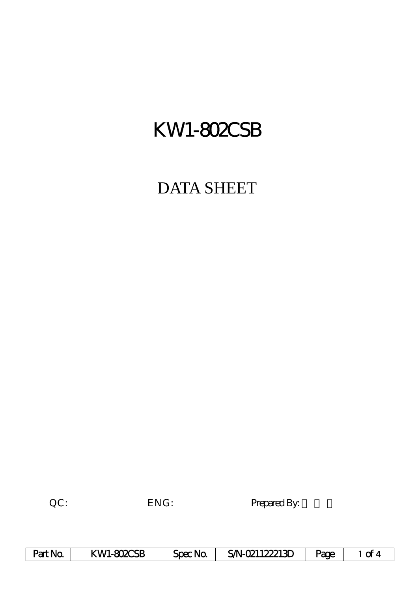# KW1-802CSB

## DATA SHEET

QC: ENG: Prepared By:

| Part No. | KWI-802CSB | Spec No. | S/N-021122213D | Page |  |
|----------|------------|----------|----------------|------|--|
|----------|------------|----------|----------------|------|--|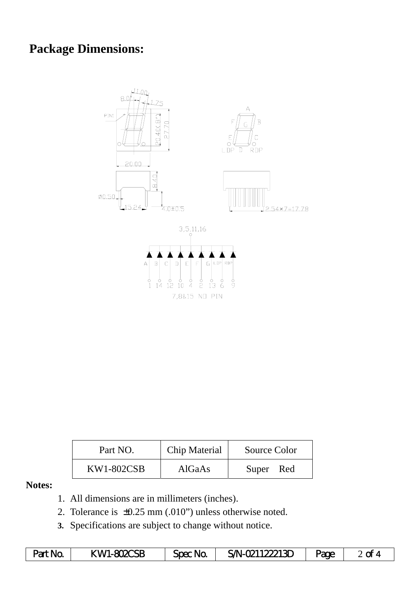## **Package Dimensions:**



| Part NO.          | Chip Material | Source Color |
|-------------------|---------------|--------------|
| <b>KW1-802CSB</b> | AlGaAs        | Super Red    |

### **Notes:**

- 1. All dimensions are in millimeters (inches).
- 2. Tolerance is ±0.25 mm (.010") unless otherwise noted.
- **3.** Specifications are subject to change without notice.

| Part No. | KWI-802CSB | Spec No. | SN-021122213D | Page | $2$ of 4 |
|----------|------------|----------|---------------|------|----------|
|----------|------------|----------|---------------|------|----------|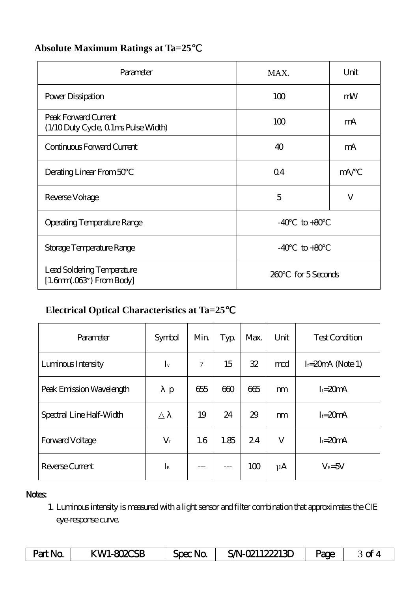| Parameter                                                    | MAX.                     | Unit |
|--------------------------------------------------------------|--------------------------|------|
| Power Dissipation                                            | 100                      | mW   |
| Peak Forward Current<br>(1/10 Duty Cycle, 0 1ms Pulse Width) | 100                      | mA   |
| Continuous Forward Current                                   | 40                       | mA   |
| Derating Linear From 50                                      | Q <sub>4</sub>           | mA/  |
| Reverse Voltage                                              | 5                        | V    |
| <b>Operating Temperature Range</b>                           | $\text{to} +80$<br>$-40$ |      |
| Storage Temperature Range                                    | $-40$<br>$to +80$        |      |
| Lead Soldering Temperature<br>$[1.6mm.03$ ") From Body]      | for 5 Seconds<br>260     |      |

## **Absolute Maximum Ratings at Ta=25**℃

## **Electrical Optical Characteristics at Ta=25**℃

| Parameter                | Symbol      | Min    | Typ  | Max. | Unit    | <b>Test Condition</b> |
|--------------------------|-------------|--------|------|------|---------|-----------------------|
| Luminous Intensity       | $I_{v}$     | $\tau$ | 15   | 32   | md      | $I = 20$ mA (Note 1)  |
| Peak Emission Wavelength | p           | 655    | 600  | 665  | m       | $I = 20mA$            |
| Spectral Line Half-Width |             | 19     | 24   | 29   | m       | $I = 20mA$            |
| Forward Voltage          | $V_{\rm f}$ | 1.6    | 1.85 | 24   | V       | $I = 20mA$            |
| Reverse Current          | $I_{R}$     |        |      | 100  | $\mu$ A | $V_R = 5V$            |

#### Notes:

1. Luminous intensity is measured with a light sensor and filter combination that approximates the CIE eye-response curve.

| Part No | KWI-802CSB | Spec No | S/N-021122213D | age | ~ |
|---------|------------|---------|----------------|-----|---|
|---------|------------|---------|----------------|-----|---|